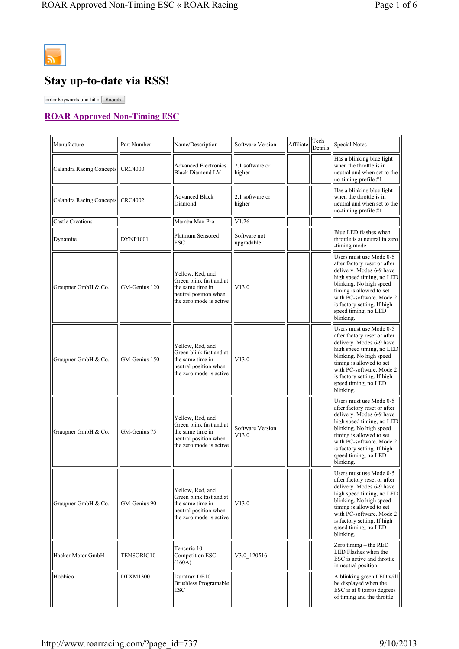

 $\overline{a}$ 

## **Stay up-to-date via RSS!**

enter keywords and hit er Search

## **ROAR Approved Non-Timing ESC**

| Manufacture                        | Part Number   | Name/Description                                                                                                    | Software Version           | Affiliate | Tech<br>Details | <b>Special Notes</b>                                                                                                                                                                                                                                                    |
|------------------------------------|---------------|---------------------------------------------------------------------------------------------------------------------|----------------------------|-----------|-----------------|-------------------------------------------------------------------------------------------------------------------------------------------------------------------------------------------------------------------------------------------------------------------------|
| Calandra Racing Concepts   CRC4000 |               | <b>Advanced Electronics</b><br><b>Black Diamond LV</b>                                                              | 2.1 software or<br>higher  |           |                 | Has a blinking blue light<br>when the throttle is in<br>neutral and when set to the<br>no-timing profile #1                                                                                                                                                             |
| Calandra Racing Concepts   CRC4002 |               | <b>Advanced Black</b><br>Diamond                                                                                    | 2.1 software or<br>higher  |           |                 | Has a blinking blue light<br>when the throttle is in<br>neutral and when set to the<br>no-timing profile #1                                                                                                                                                             |
| Castle Creations                   |               | Mamba Max Pro                                                                                                       | V1.26                      |           |                 |                                                                                                                                                                                                                                                                         |
| Dynamite                           | DYNP1001      | Platinum Sensored<br><b>ESC</b>                                                                                     | Software not<br>upgradable |           |                 | Blue LED flashes when<br>throttle is at neutral in zero<br>-timing mode.                                                                                                                                                                                                |
| Graupner GmbH & Co.                | GM-Genius 120 | Yellow, Red, and<br>Green blink fast and at<br>the same time in<br>neutral position when<br>the zero mode is active | V13.0                      |           |                 | Users must use Mode 0-5<br>after factory reset or after<br>delivery. Modes 6-9 have<br>high speed timing, no LED<br>blinking. No high speed<br>timing is allowed to set<br>with PC-software. Mode 2<br>is factory setting. If high<br>speed timing, no LED<br>blinking. |
| Graupner GmbH & Co.                | GM-Genius 150 | Yellow, Red, and<br>Green blink fast and at<br>the same time in<br>neutral position when<br>the zero mode is active | V13.0                      |           |                 | Users must use Mode 0-5<br>after factory reset or after<br>delivery. Modes 6-9 have<br>high speed timing, no LED<br>blinking. No high speed<br>timing is allowed to set<br>with PC-software. Mode 2<br>is factory setting. If high<br>speed timing, no LED<br>blinking. |
| Graupner GmbH & Co.                | GM-Genius 75  | Yellow, Red, and<br>Green blink fast and at<br>the same time in<br>neutral position when<br>the zero mode is active | Software Version<br>V13.0  |           |                 | Users must use Mode 0-5<br>after factory reset or after<br>delivery. Modes 6-9 have<br>high speed timing, no LED<br>blinking. No high speed<br>timing is allowed to set<br>with PC-software. Mode 2<br>is factory setting. If high<br>speed timing, no LED<br>blinking. |
| Graupner GmbH & Co.                | GM-Genius 90  | Yellow, Red, and<br>Green blink fast and at<br>the same time in<br>neutral position when<br>the zero mode is active | V13.0                      |           |                 | Users must use Mode 0-5<br>after factory reset or after<br>delivery. Modes 6-9 have<br>high speed timing, no LED<br>blinking. No high speed<br>timing is allowed to set<br>with PC-software. Mode 2<br>is factory setting. If high<br>speed timing, no LED<br>blinking. |
| Hacker Motor GmbH                  | TENSORIC10    | Tensoric 10<br>Competition ESC<br>(160A)                                                                            | V3.0 120516                |           |                 | Zero timing - the RED<br>LED Flashes when the<br>ESC is active and throttle<br>in neutral position.                                                                                                                                                                     |
| Hobbico                            | DTXM1300      | Duratrax DE10<br><b>Brushless Programable</b><br>ESC                                                                |                            |           |                 | A blinking green LED will<br>be displayed when the<br>ESC is at 0 (zero) degrees<br>of timing and the throttle                                                                                                                                                          |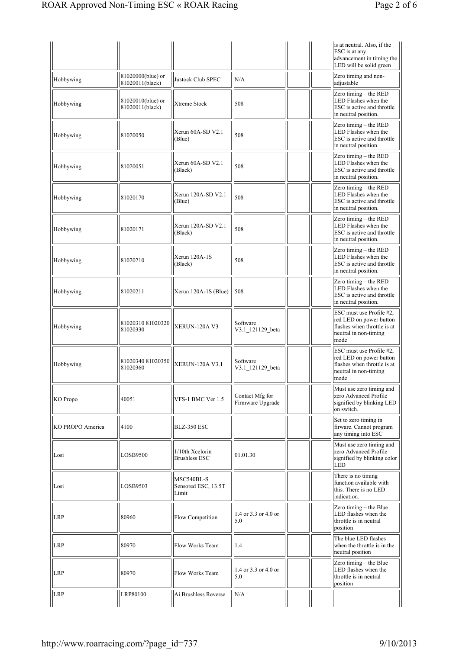|                  |                                      |                                            |                                     | is at neutral. Also, if the<br>ESC is at any<br>advancement in timing the<br>LED will be solid green                |
|------------------|--------------------------------------|--------------------------------------------|-------------------------------------|---------------------------------------------------------------------------------------------------------------------|
| Hobbywing        | 81020000(blue) or<br>81020011(black) | Justock Club SPEC                          | N/A                                 | Zero timing and non-<br>adjustable                                                                                  |
| Hobbywing        | 81020010(blue) or<br>81020011(black) | Xtreme Stock                               | 508                                 | Zero timing - the RED<br>LED Flashes when the<br>ESC is active and throttle<br>in neutral position.                 |
| Hobbywing        | 81020050                             | Xerun 60A-SD V2.1<br>(Blue)                | 508                                 | Zero timing $-$ the RED<br>LED Flashes when the<br>ESC is active and throttle<br>in neutral position.               |
| Hobbywing        | 81020051                             | Xerun 60A-SD V2.1<br>(Black)               | 508                                 | Zero timing - the RED<br>LED Flashes when the<br>ESC is active and throttle<br>in neutral position.                 |
| Hobbywing        | 81020170                             | Xerun 120A-SD V2.1<br>(Blue)               | 508                                 | Zero timing - the RED<br>LED Flashes when the<br>ESC is active and throttle<br>in neutral position.                 |
| Hobbywing        | 81020171                             | Xerun 120A-SD V2.1<br>(Black)              | 508                                 | Zero timing - the RED<br>LED Flashes when the<br>ESC is active and throttle<br>in neutral position.                 |
| Hobbywing        | 81020210                             | Xerun 120A-1S<br>(Black)                   | 508                                 | Zero timing $-$ the RED<br>LED Flashes when the<br>ESC is active and throttle<br>in neutral position.               |
| Hobbywing        | 81020211                             | Xerun 120A-1S (Blue)                       | 508                                 | Zero timing $-$ the RED<br>LED Flashes when the<br>ESC is active and throttle<br>in neutral position.               |
| Hobbywing        | 81020310 81020320<br>81020330        | XERUN-120A V3                              | Software<br>V3.1_121129_beta        | ESC must use Profile #2,<br>red LED on power button<br>flashes when throttle is at<br>neutral in non-timing<br>mode |
| Hobbywing        | 81020340 81020350<br>81020360        | <b>XERUN-120A V3.1</b>                     | Software<br>V3.1 121129 beta        | ESC must use Profile #2,<br>red LED on power button<br>flashes when throttle is at<br>neutral in non-timing<br>mode |
| <b>KO</b> Propo  | 40051                                | VFS-1 BMC Ver 1.5                          | Contact Mfg for<br>Firmware Upgrade | Must use zero timing and<br>zero Advanced Profile<br>signified by blinking LED<br>on switch.                        |
| KO PROPO America | 4100                                 | BLZ-350 ESC                                |                                     | Set to zero timing in<br>firware. Cannot program<br>any timing into ESC                                             |
| Losi             | LOSB9500                             | 1/10th Xcelorin<br><b>Brushless ESC</b>    | 01.01.30                            | Must use zero timing and<br>zero Advanced Profile<br>signified by blinking color<br>LED                             |
| Losi             | LOSB9503                             | MSC540BL-S<br>Sensored ESC, 13.5T<br>Limit |                                     | There is no timing<br>function available with<br>this. There is no LED<br>indication.                               |
| <b>LRP</b>       | 80960                                | Flow Competition                           | 1.4 or 3.3 or 4.0 or<br>5.0         | Zero timing - the Blue<br>LED flashes when the<br>throttle is in neutral<br>position                                |
| <b>LRP</b>       | 80970                                | Flow Works Team                            | 1.4                                 | The blue LED flashes<br>when the throttle is in the<br>neutral position                                             |
| <b>LRP</b>       | 80970                                | Flow Works Team                            | 1.4 or 3.3 or 4.0 or<br>5.0         | Zero timing - the Blue<br>LED flashes when the<br>throttle is in neutral<br>position                                |
| <b>LRP</b>       | LRP80100                             | Ai Brushless Reverse                       | N/A                                 |                                                                                                                     |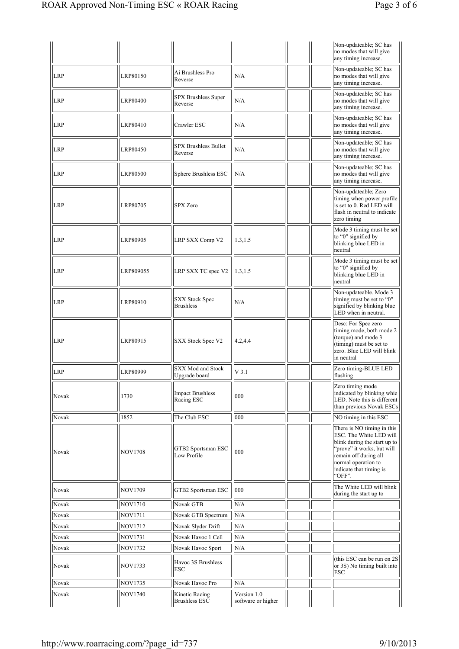|            |                |                                           |          | Non-updateable; SC has<br>no modes that will give<br>any timing increase.                                                                                                                                |
|------------|----------------|-------------------------------------------|----------|----------------------------------------------------------------------------------------------------------------------------------------------------------------------------------------------------------|
| <b>LRP</b> | LRP80150       | Ai Brushless Pro<br>Reverse               | N/A      | Non-updateable; SC has<br>no modes that will give<br>any timing increase.                                                                                                                                |
| <b>LRP</b> | LRP80400       | SPX Brushless Super<br>Reverse            | N/A      | Non-updateable; SC has<br>no modes that will give<br>any timing increase.                                                                                                                                |
| <b>LRP</b> | LRP80410       | Crawler ESC                               | N/A      | Non-updateable; SC has<br>no modes that will give<br>any timing increase.                                                                                                                                |
| <b>LRP</b> | LRP80450       | <b>SPX Brushless Bullet</b><br>Reverse    | N/A      | Non-updateable; SC has<br>no modes that will give<br>any timing increase.                                                                                                                                |
| <b>LRP</b> | LRP80500       | Sphere Brushless ESC                      | N/A      | Non-updateable; SC has<br>no modes that will give<br>any timing increase.                                                                                                                                |
| <b>LRP</b> | LRP80705       | <b>SPX Zero</b>                           |          | Non-updateable; Zero<br>timing when power profile<br>is set to 0. Red LED will<br>flash in neutral to indicate<br>zero timing                                                                            |
| <b>LRP</b> | LRP80905       | LRP SXX Comp V2                           | 1.3, 1.5 | Mode 3 timing must be set<br>to "0" signified by<br>blinking blue LED in<br>neutral                                                                                                                      |
| <b>LRP</b> | LRP809055      | LRP SXX TC spec V2                        | 1.3, 1.5 | Mode 3 timing must be set<br>to "0" signified by<br>blinking blue LED in<br>neutral                                                                                                                      |
| <b>LRP</b> | LRP80910       | <b>SXX Stock Spec</b><br><b>Brushless</b> | N/A      | Non-updateable. Mode 3<br>timing must be set to "0"<br>signified by blinking blue<br>LED when in neutral.                                                                                                |
| <b>LRP</b> | LRP80915       | SXX Stock Spec V2                         | 4.2,4.4  | Desc: For Spec zero<br>timing mode, both mode 2<br>(torque) and mode 3<br>(timing) must be set to<br>zero. Blue LED will blink<br>in neutral                                                             |
| <b>LRP</b> | LRP80999       | SXX Mod and Stock<br>Upgrade board        | $V$ 3.1  | Zero timing-BLUE LED<br>flashing                                                                                                                                                                         |
| Novak      | 1730           | <b>Impact Brushless</b><br>Racing ESC     | 000      | Zero timing mode<br>indicated by blinking whie<br>LED. Note this is different<br>than previous Novak ESCs                                                                                                |
| Novak      | 1852           | The Club ESC                              | 000      | NO timing in this ESC                                                                                                                                                                                    |
| Novak      | <b>NOV1708</b> | GTB2 Sportsman ESC<br>Low Profile         | 000      | There is NO timing in this<br>ESC. The White LED will<br>blink during the start up to<br>"prove" it works, but will<br>remain off during all<br>normal operation to<br>indicate that timing is<br>'OFF". |
| Novak      | <b>NOV1709</b> | GTB2 Sportsman ESC                        | 000      | The White LED will blink<br>during the start up to                                                                                                                                                       |
| Novak      | <b>NOV1710</b> | Novak GTB                                 | N/A      |                                                                                                                                                                                                          |
| Novak      | <b>NOV1711</b> | Novak GTB Spectrum                        | N/A      |                                                                                                                                                                                                          |
| Novak      | <b>NOV1712</b> | Novak Slyder Drift                        | N/A      |                                                                                                                                                                                                          |
| Novak      | <b>NOV1731</b> | Novak Havoc 1 Cell                        | N/A      |                                                                                                                                                                                                          |
| Novak      | <b>NOV1732</b> | Novak Havoc Sport                         | N/A      |                                                                                                                                                                                                          |
| Novak      | <b>NOV1733</b> | Havoc 3S Brushless<br>ESC                 |          | (this ESC can be run on 2S)<br>or 3S) No timing built into<br>ESC                                                                                                                                        |
| Novak      | <b>NOV1735</b> | Novak Havoc Pro                           | N/A      |                                                                                                                                                                                                          |
|            |                |                                           |          |                                                                                                                                                                                                          |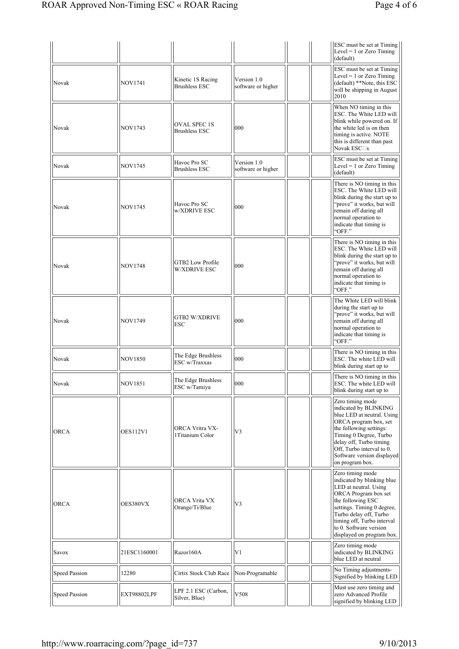|                      |                 |                                             |                                   |  | ESC must be set at Timing<br>Level = 1 or Zero Timing<br>(default)                                                                                                                                                                                                |
|----------------------|-----------------|---------------------------------------------|-----------------------------------|--|-------------------------------------------------------------------------------------------------------------------------------------------------------------------------------------------------------------------------------------------------------------------|
| Novak                | <b>NOV1741</b>  | Kinetic 1S Racing<br><b>Brushless ESC</b>   | Version 1.0<br>software or higher |  | ESC must be set at Timing<br>$Level = 1$ or Zero Timing<br>(default) **Note, this ESC<br>will be shipping in August<br>2010                                                                                                                                       |
| Novak                | <b>NOV1743</b>  | <b>OVAL SPEC 1S</b><br><b>Brushless ESC</b> | 000                               |  | When NO timing in this<br>ESC. The White LED will<br>blink while powered on. If<br>the white led is on then<br>timing is active. NOTE<br>this is different than past<br>Novak ESC <sup>I</sup> s                                                                  |
| Novak                | <b>NOV1745</b>  | Havoc Pro SC<br><b>Brushless ESC</b>        | Version 1.0<br>software or higher |  | ESC must be set at Timing<br>$Level = 1$ or Zero Timing<br>(default)                                                                                                                                                                                              |
| Novak                | <b>NOV1745</b>  | Havoc Pro SC<br>w/XDRIVE ESC                | 000                               |  | There is NO timing in this<br>ESC. The White LED will<br>blink during the start up to<br>"prove" it works, but will<br>remain off during all<br>normal operation to<br>indicate that timing is<br>"OFF."                                                          |
| Novak                | <b>NOV1748</b>  | GTB2 Low Profile<br><b>W/XDRIVE ESC</b>     | 000                               |  | There is NO timing in this<br>ESC. The White LED will<br>blink during the start up to<br>"prove" it works, but will<br>remain off during all<br>normal operation to<br>indicate that timing is<br>"OFF."                                                          |
| Novak                | <b>NOV1749</b>  | <b>GTB2 W/XDRIVE</b><br><b>ESC</b>          | 000                               |  | The White LED will blink<br>during the start up to<br>"prove" it works, but will<br>remain off during all<br>normal operation to<br>indicate that timing is<br>"OFF."                                                                                             |
| Novak                | <b>NOV1850</b>  | The Edge Brushless<br>ESC w/Traxxas         | 000                               |  | There is NO timing in this<br>ESC. The white LED will<br>blink during start up to                                                                                                                                                                                 |
| Novak                | NOV1851         | The Edge Brushless<br>ESC w/Tamiya          | 000                               |  | There is NO timing in this<br>ESC. The white LED will<br>blink during start up to                                                                                                                                                                                 |
| <b>ORCA</b>          | <b>OES112V1</b> | ORCA Vritra VX-<br>1 Titanium Color         | V <sub>3</sub>                    |  | Zero timing mode<br>indicated by BLINKING<br>blue LED at neutral. Using<br>ORCA program box, set<br>the following settings:<br>Timing 0 Degree, Turbo<br>delay off, Turbo timing<br>Off, Turbo interval to 0.<br>Software version displayed<br>on program box.    |
| <b>ORCA</b>          | OES380VX        | ORCA Vrita VX<br>Orange/Ti/Blue             | V3                                |  | Zero timing mode<br>indicated by blinking blue<br>LED at neutral. Using<br>ORCA Program box set<br>the following ESC<br>settings. Timing 0 degree,<br>Turbo delay off, Turbo<br>timing off, Turbo interval<br>to 0. Software version<br>displayed on program box. |
| Savox                | 21ESC1160001    | Razor160A                                   | V <sub>1</sub>                    |  | Zero timing mode<br>indicated by BLINKING<br>blue LED at neutral                                                                                                                                                                                                  |
| <b>Speed Passion</b> | 12280           | Cirtix Stock Club Race                      | Non-Programable                   |  | No Timing adjustments-<br>Signified by blinking LED                                                                                                                                                                                                               |
| Speed Passion        | EXT98802LPF     | LPF 2.1 ESC (Carbon,<br>Silver, Blue)       | V508                              |  | Must use zero timing and<br>zero Advanced Profile<br>signified by blinking LED                                                                                                                                                                                    |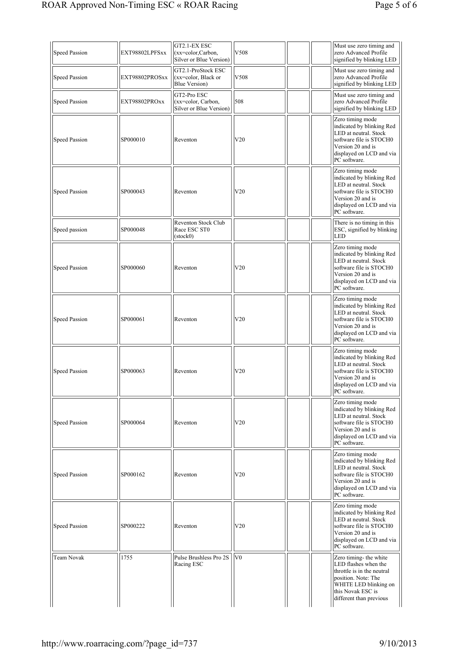| <b>Speed Passion</b> | EXT98802LPFSxx | GT2.1-EX ESC<br>$(xx=color,Carbon,$<br>Silver or Blue Version) | V508           | Must use zero timing and<br>zero Advanced Profile<br>signified by blinking LED                                                                                               |
|----------------------|----------------|----------------------------------------------------------------|----------------|------------------------------------------------------------------------------------------------------------------------------------------------------------------------------|
| <b>Speed Passion</b> | EXT98802PROSxx | GT2.1-ProStock ESC<br>$(xx=color, Black or$<br>Blue Version)   | V508           | Must use zero timing and<br>zero Advanced Profile<br>signified by blinking LED                                                                                               |
| <b>Speed Passion</b> | EXT98802PROxx  | GT2-Pro ESC<br>$(xx=color, Carbon,$<br>Silver or Blue Version) | 508            | Must use zero timing and<br>zero Advanced Profile<br>signified by blinking LED                                                                                               |
| Speed Passion        | SP000010       | Reventon                                                       | V20            | Zero timing mode<br>indicated by blinking Red<br>LED at neutral. Stock<br>software file is STOCH0<br>Version 20 and is<br>displayed on LCD and via<br>PC software.           |
| <b>Speed Passion</b> | SP000043       | Reventon                                                       | V20            | Zero timing mode<br>indicated by blinking Red<br>LED at neutral. Stock<br>software file is STOCH0<br>Version 20 and is<br>displayed on LCD and via<br>PC software.           |
| Speed passion        | SP000048       | Reventon Stock Club<br>Race ESC ST0<br>$(\text{stock}0)$       |                | There is no timing in this<br>ESC, signified by blinking<br><b>LED</b>                                                                                                       |
| Speed Passion        | SP000060       | Reventon                                                       | V20            | Zero timing mode<br>indicated by blinking Red<br>LED at neutral. Stock<br>software file is STOCH0<br>Version 20 and is<br>displayed on LCD and via<br>PC software.           |
| Speed Passion        | SP000061       | Reventon                                                       | V20            | Zero timing mode<br>indicated by blinking Red<br>LED at neutral. Stock<br>software file is STOCH0<br>Version 20 and is<br>displayed on LCD and via<br>PC software.           |
| <b>Speed Passion</b> | SP000063       | Reventon                                                       | V20            | Zero timing mode<br>indicated by blinking Red<br>LED at neutral. Stock<br>software file is STOCH0<br>Version 20 and is<br>displayed on LCD and via<br>PC software.           |
| <b>Speed Passion</b> | SP000064       | Reventon                                                       | V20            | Zero timing mode<br>indicated by blinking Red<br>LED at neutral. Stock<br>software file is STOCH0<br>Version 20 and is<br>displayed on LCD and via<br>PC software.           |
| <b>Speed Passion</b> | SP000162       | Reventon                                                       | V20            | Zero timing mode<br>indicated by blinking Red<br>LED at neutral. Stock<br>software file is STOCH0<br>Version 20 and is<br>displayed on LCD and via<br>PC software.           |
| <b>Speed Passion</b> | SP000222       | Reventon                                                       | V20            | Zero timing mode<br>indicated by blinking Red<br>LED at neutral. Stock<br>software file is STOCH0<br>Version 20 and is<br>displayed on LCD and via<br>PC software.           |
| <b>Team Novak</b>    | 1755           | Pulse Brushless Pro 2S<br>Racing ESC                           | V <sub>0</sub> | Zero timing- the white<br>LED flashes when the<br>throttle is in the neutral<br>position. Note: The<br>WHITE LED blinking on<br>this Novak ESC is<br>different than previous |